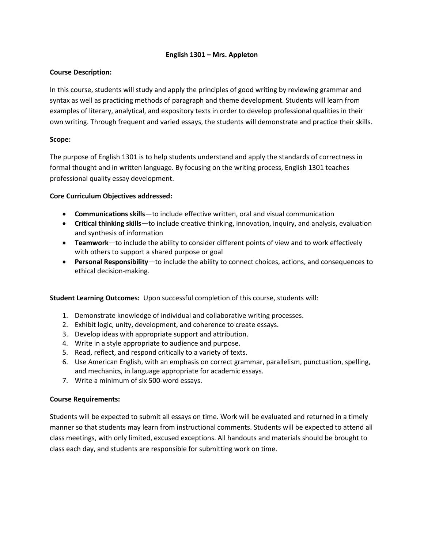## **English 1301 – Mrs. Appleton**

# **Course Description:**

In this course, students will study and apply the principles of good writing by reviewing grammar and syntax as well as practicing methods of paragraph and theme development. Students will learn from examples of literary, analytical, and expository texts in order to develop professional qualities in their own writing. Through frequent and varied essays, the students will demonstrate and practice their skills.

# **Scope:**

The purpose of English 1301 is to help students understand and apply the standards of correctness in formal thought and in written language. By focusing on the writing process, English 1301 teaches professional quality essay development.

# **Core Curriculum Objectives addressed:**

- **Communications skills**—to include effective written, oral and visual communication
- **Critical thinking skills**—to include creative thinking, innovation, inquiry, and analysis, evaluation and synthesis of information
- **Teamwork**—to include the ability to consider different points of view and to work effectively with others to support a shared purpose or goal
- **Personal Responsibility**—to include the ability to connect choices, actions, and consequences to ethical decision-making.

**Student Learning Outcomes:** Upon successful completion of this course, students will:

- 1. Demonstrate knowledge of individual and collaborative writing processes.
- 2. Exhibit logic, unity, development, and coherence to create essays.
- 3. Develop ideas with appropriate support and attribution.
- 4. Write in a style appropriate to audience and purpose.
- 5. Read, reflect, and respond critically to a variety of texts.
- 6. Use American English, with an emphasis on correct grammar, parallelism, punctuation, spelling, and mechanics, in language appropriate for academic essays.
- 7. Write a minimum of six 500-word essays.

## **Course Requirements:**

Students will be expected to submit all essays on time. Work will be evaluated and returned in a timely manner so that students may learn from instructional comments. Students will be expected to attend all class meetings, with only limited, excused exceptions. All handouts and materials should be brought to class each day, and students are responsible for submitting work on time.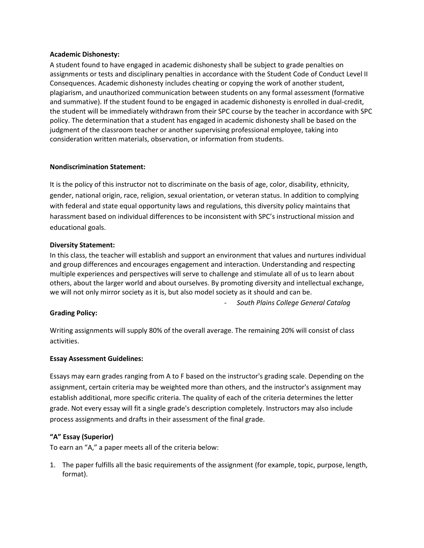#### **Academic Dishonesty:**

A student found to have engaged in academic dishonesty shall be subject to grade penalties on assignments or tests and disciplinary penalties in accordance with the Student Code of Conduct Level II Consequences. Academic dishonesty includes cheating or copying the work of another student, plagiarism, and unauthorized communication between students on any formal assessment (formative and summative). If the student found to be engaged in academic dishonesty is enrolled in dual-credit, the student will be immediately withdrawn from their SPC course by the teacher in accordance with SPC policy. The determination that a student has engaged in academic dishonesty shall be based on the judgment of the classroom teacher or another supervising professional employee, taking into consideration written materials, observation, or information from students.

## **Nondiscrimination Statement:**

It is the policy of this instructor not to discriminate on the basis of age, color, disability, ethnicity, gender, national origin, race, religion, sexual orientation, or veteran status. In addition to complying with federal and state equal opportunity laws and regulations, this diversity policy maintains that harassment based on individual differences to be inconsistent with SPC's instructional mission and educational goals.

#### **Diversity Statement:**

In this class, the teacher will establish and support an environment that values and nurtures individual and group differences and encourages engagement and interaction. Understanding and respecting multiple experiences and perspectives will serve to challenge and stimulate all of us to learn about others, about the larger world and about ourselves. By promoting diversity and intellectual exchange, we will not only mirror society as it is, but also model society as it should and can be.

- *South Plains College General Catalog*

## **Grading Policy:**

Writing assignments will supply 80% of the overall average. The remaining 20% will consist of class activities.

#### **Essay Assessment Guidelines:**

Essays may earn grades ranging from A to F based on the instructor's grading scale. Depending on the assignment, certain criteria may be weighted more than others, and the instructor's assignment may establish additional, more specific criteria. The quality of each of the criteria determines the letter grade. Not every essay will fit a single grade's description completely. Instructors may also include process assignments and drafts in their assessment of the final grade.

## **"A" Essay (Superior)**

To earn an "A," a paper meets all of the criteria below:

1. The paper fulfills all the basic requirements of the assignment (for example, topic, purpose, length, format).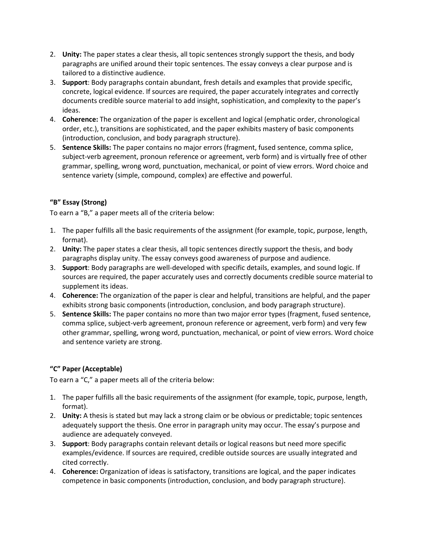- 2. **Unity:** The paper states a clear thesis, all topic sentences strongly support the thesis, and body paragraphs are unified around their topic sentences. The essay conveys a clear purpose and is tailored to a distinctive audience.
- 3. **Support**: Body paragraphs contain abundant, fresh details and examples that provide specific, concrete, logical evidence. If sources are required, the paper accurately integrates and correctly documents credible source material to add insight, sophistication, and complexity to the paper's ideas.
- 4. **Coherence:** The organization of the paper is excellent and logical (emphatic order, chronological order, etc.), transitions are sophisticated, and the paper exhibits mastery of basic components (introduction, conclusion, and body paragraph structure).
- 5. **Sentence Skills:** The paper contains no major errors (fragment, fused sentence, comma splice, subject-verb agreement, pronoun reference or agreement, verb form) and is virtually free of other grammar, spelling, wrong word, punctuation, mechanical, or point of view errors. Word choice and sentence variety (simple, compound, complex) are effective and powerful.

# **"B" Essay (Strong)**

To earn a "B," a paper meets all of the criteria below:

- 1. The paper fulfills all the basic requirements of the assignment (for example, topic, purpose, length, format).
- 2. **Unity:** The paper states a clear thesis, all topic sentences directly support the thesis, and body paragraphs display unity. The essay conveys good awareness of purpose and audience.
- 3. **Support**: Body paragraphs are well-developed with specific details, examples, and sound logic. If sources are required, the paper accurately uses and correctly documents credible source material to supplement its ideas.
- 4. **Coherence:** The organization of the paper is clear and helpful, transitions are helpful, and the paper exhibits strong basic components (introduction, conclusion, and body paragraph structure).
- 5. **Sentence Skills:** The paper contains no more than two major error types (fragment, fused sentence, comma splice, subject-verb agreement, pronoun reference or agreement, verb form) and very few other grammar, spelling, wrong word, punctuation, mechanical, or point of view errors. Word choice and sentence variety are strong.

# **"C" Paper (Acceptable)**

To earn a "C," a paper meets all of the criteria below:

- 1. The paper fulfills all the basic requirements of the assignment (for example, topic, purpose, length, format).
- 2. **Unity:** A thesis is stated but may lack a strong claim or be obvious or predictable; topic sentences adequately support the thesis. One error in paragraph unity may occur. The essay's purpose and audience are adequately conveyed.
- 3. **Support**: Body paragraphs contain relevant details or logical reasons but need more specific examples/evidence. If sources are required, credible outside sources are usually integrated and cited correctly.
- 4. **Coherence:** Organization of ideas is satisfactory, transitions are logical, and the paper indicates competence in basic components (introduction, conclusion, and body paragraph structure).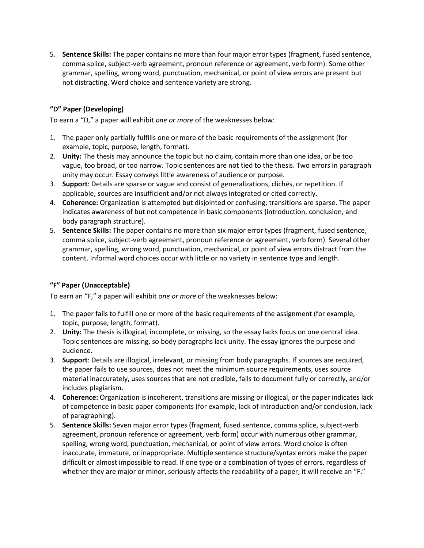5. **Sentence Skills:** The paper contains no more than four major error types (fragment, fused sentence, comma splice, subject-verb agreement, pronoun reference or agreement, verb form). Some other grammar, spelling, wrong word, punctuation, mechanical, or point of view errors are present but not distracting. Word choice and sentence variety are strong.

# **"D" Paper (Developing)**

To earn a "D," a paper will exhibit *one or more* of the weaknesses below:

- 1. The paper only partially fulfills one or more of the basic requirements of the assignment (for example, topic, purpose, length, format).
- 2. **Unity:** The thesis may announce the topic but no claim, contain more than one idea, or be too vague, too broad, or too narrow. Topic sentences are not tied to the thesis. Two errors in paragraph unity may occur. Essay conveys little awareness of audience or purpose.
- 3. **Support**: Details are sparse or vague and consist of generalizations, clichés, or repetition. If applicable, sources are insufficient and/or not always integrated or cited correctly.
- 4. **Coherence:** Organization is attempted but disjointed or confusing; transitions are sparse. The paper indicates awareness of but not competence in basic components (introduction, conclusion, and body paragraph structure).
- 5. **Sentence Skills:** The paper contains no more than six major error types (fragment, fused sentence, comma splice, subject-verb agreement, pronoun reference or agreement, verb form). Several other grammar, spelling, wrong word, punctuation, mechanical, or point of view errors distract from the content. Informal word choices occur with little or no variety in sentence type and length.

## **"F" Paper (Unacceptable)**

To earn an "F," a paper will exhibit *one or more* of the weaknesses below:

- 1. The paper fails to fulfill one or more of the basic requirements of the assignment (for example, topic, purpose, length, format).
- 2. **Unity:** The thesis is illogical, incomplete, or missing, so the essay lacks focus on one central idea. Topic sentences are missing, so body paragraphs lack unity. The essay ignores the purpose and audience.
- 3. **Support**: Details are illogical, irrelevant, or missing from body paragraphs. If sources are required, the paper fails to use sources, does not meet the minimum source requirements, uses source material inaccurately, uses sources that are not credible, fails to document fully or correctly, and/or includes plagiarism.
- 4. **Coherence:** Organization is incoherent, transitions are missing or illogical, or the paper indicates lack of competence in basic paper components (for example, lack of introduction and/or conclusion, lack of paragraphing).
- 5. **Sentence Skills:** Seven major error types (fragment, fused sentence, comma splice, subject-verb agreement, pronoun reference or agreement, verb form) occur with numerous other grammar, spelling, wrong word, punctuation, mechanical, or point of view errors. Word choice is often inaccurate, immature, or inappropriate. Multiple sentence structure/syntax errors make the paper difficult or almost impossible to read. If one type or a combination of types of errors, regardless of whether they are major or minor, seriously affects the readability of a paper, it will receive an "F."